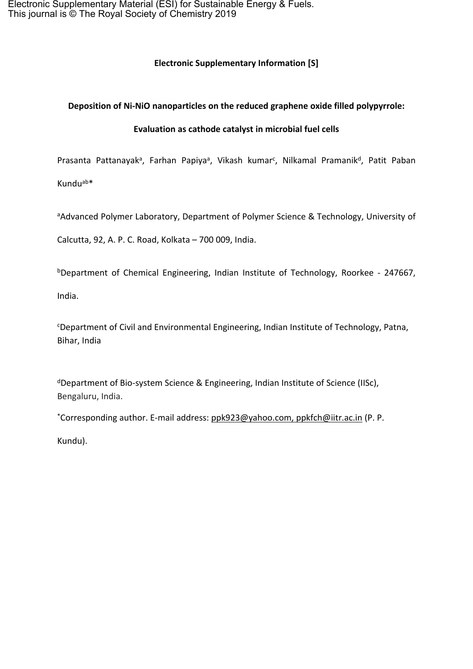Electronic Supplementary Material (ESI) for Sustainable Energy & Fuels. This journal is © The Royal Society of Chemistry 2019

### **Electronic Supplementary Information [S]**

#### **Deposition of Ni-NiO nanoparticles on the reduced graphene oxide filled polypyrrole:**

#### **Evaluation as cathode catalyst in microbial fuel cells**

Prasanta Pattanayak<sup>a</sup>, Farhan Papiya<sup>a</sup>, Vikash kumar<sup>c</sup>, Nilkamal Pramanik<sup>d</sup>, Patit Paban

Kunduab\*

aAdvanced Polymer Laboratory, Department of Polymer Science & Technology, University of

Calcutta, 92, A. P. C. Road, Kolkata – 700 009, India.

<sup>b</sup>Department of Chemical Engineering, Indian Institute of Technology, Roorkee - 247667,

India.

<sup>c</sup>Department of Civil and Environmental Engineering, Indian Institute of Technology, Patna, Bihar, India

<sup>d</sup>Department of Bio-system Science & Engineering, Indian Institute of Science (IISc), Bengaluru, India.

\*Corresponding author. E-mail address: [ppk923@yahoo.com](mailto:ppk923@yahoo.com), ppkfch@iitr.ac.in (P. P.

Kundu).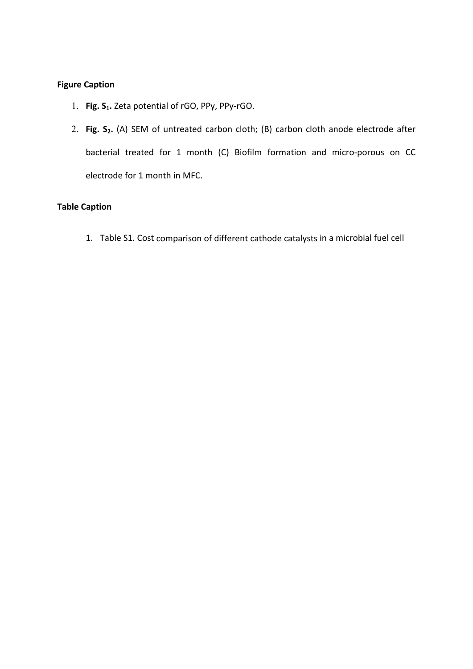## **Figure Caption**

- 1. **Fig. S1.** Zeta potential of rGO, PPy, PPy-rGO.
- 2. **Fig. S2.** (A) SEM of untreated carbon cloth; (B) carbon cloth anode electrode after bacterial treated for 1 month (C) Biofilm formation and micro-porous on CC electrode for 1 month in MFC.

# **Table Caption**

1. Table S1. Cost comparison of different cathode catalysts in a microbial fuel cell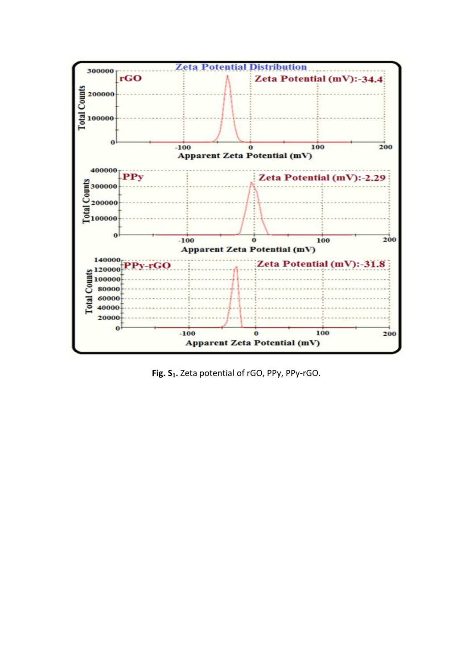

**Fig. S1.** Zeta potential of rGO, PPy, PPy-rGO.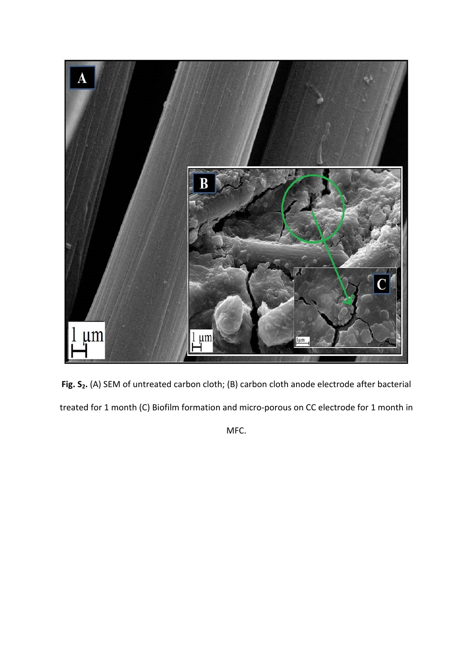

**Fig. S2.** (A) SEM of untreated carbon cloth; (B) carbon cloth anode electrode after bacterial treated for 1 month (C) Biofilm formation and micro-porous on CC electrode for 1 month in

MFC.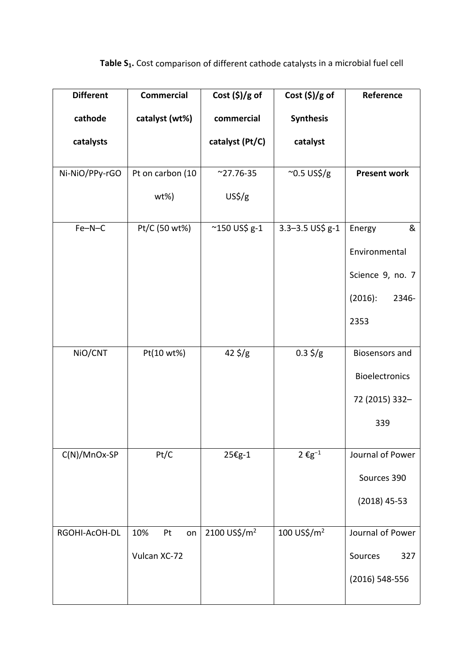| <b>Different</b> | <b>Commercial</b> | Cost $(\$)/g$ of         | Cost $(\$)/g$ of        | Reference             |
|------------------|-------------------|--------------------------|-------------------------|-----------------------|
| cathode          | catalyst (wt%)    | commercial               | <b>Synthesis</b>        |                       |
| catalysts        |                   | catalyst (Pt/C)          | catalyst                |                       |
| Ni-NiO/PPy-rGO   | Pt on carbon (10  | $^{\sim}$ 27.76-35       | $\sim$ 0.5 US\$/g       | <b>Present work</b>   |
|                  | $wt\%$ )          | US <sup>5</sup> /g       |                         |                       |
| $Fe-N-C$         | Pt/C (50 wt%)     | $^{\sim}$ 150 US\$ g-1   | $3.3 - 3.5$ US\$ $g-1$  | &<br>Energy           |
|                  |                   |                          |                         | Environmental         |
|                  |                   |                          |                         | Science 9, no. 7      |
|                  |                   |                          |                         | $(2016)$ :<br>2346-   |
|                  |                   |                          |                         | 2353                  |
| NiO/CNT          | Pt(10 wt%)        | $42 \frac{1}{5}$ /g      | $0.3 \frac{5}{g}$       | <b>Biosensors and</b> |
|                  |                   |                          |                         | Bioelectronics        |
|                  |                   |                          |                         | 72 (2015) 332-        |
|                  |                   |                          |                         | 339                   |
| $C(N)/MnOx-SP$   | Pt/C              | 25€g-1                   | $2\ \epsilon g^{-1}$    | Journal of Power      |
|                  |                   |                          |                         | Sources 390           |
|                  |                   |                          |                         | $(2018)$ 45-53        |
| RGOHI-AcOH-DL    | 10%<br>Pt<br>on   | 2100 US\$/m <sup>2</sup> | 100 US\$/m <sup>2</sup> | Journal of Power      |
|                  | Vulcan XC-72      |                          |                         | Sources<br>327        |
|                  |                   |                          |                         | (2016) 548-556        |
|                  |                   |                          |                         |                       |